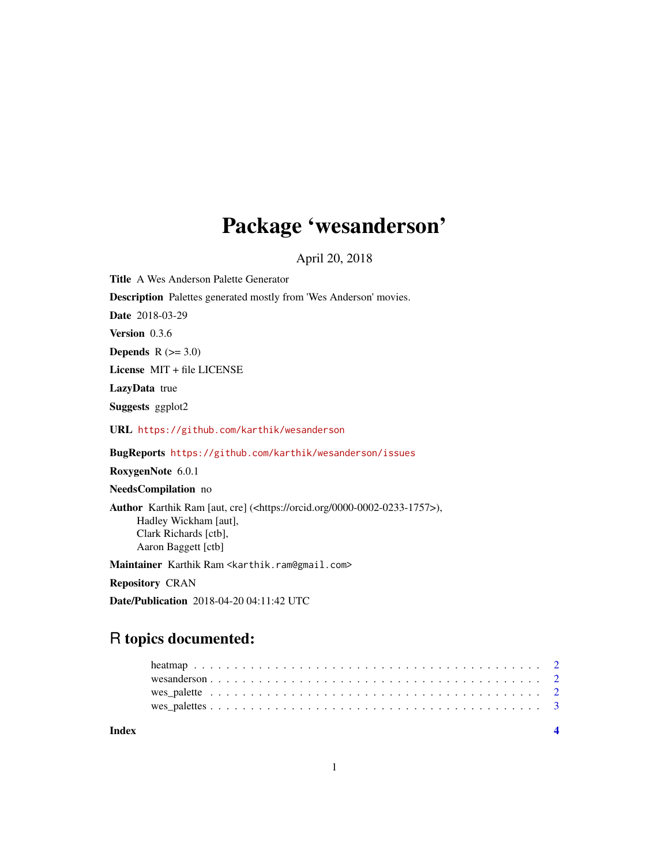## Package 'wesanderson'

April 20, 2018

Title A Wes Anderson Palette Generator

Description Palettes generated mostly from 'Wes Anderson' movies.

Date 2018-03-29

Version 0.3.6

Depends  $R$  ( $>= 3.0$ )

License MIT + file LICENSE

LazyData true

Suggests ggplot2

URL <https://github.com/karthik/wesanderson>

BugReports <https://github.com/karthik/wesanderson/issues>

RoxygenNote 6.0.1

NeedsCompilation no

Author Karthik Ram [aut, cre] (<https://orcid.org/0000-0002-0233-1757>), Hadley Wickham [aut], Clark Richards [ctb], Aaron Baggett [ctb]

Maintainer Karthik Ram <karthik.ram@gmail.com>

Repository CRAN

Date/Publication 2018-04-20 04:11:42 UTC

### R topics documented:

**Index** [4](#page-3-0)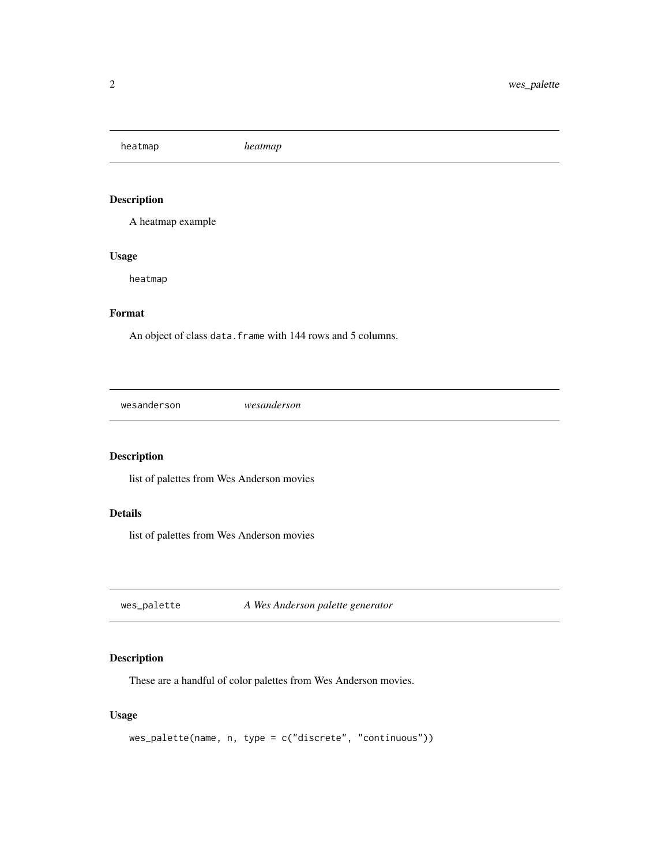<span id="page-1-0"></span>heatmap *heatmap*

#### Description

A heatmap example

#### Usage

heatmap

#### Format

An object of class data. frame with 144 rows and 5 columns.

wesanderson *wesanderson*

#### Description

list of palettes from Wes Anderson movies

#### Details

list of palettes from Wes Anderson movies

<span id="page-1-1"></span>wes\_palette *A Wes Anderson palette generator*

#### Description

These are a handful of color palettes from Wes Anderson movies.

#### Usage

```
wes_palette(name, n, type = c("discrete", "continuous"))
```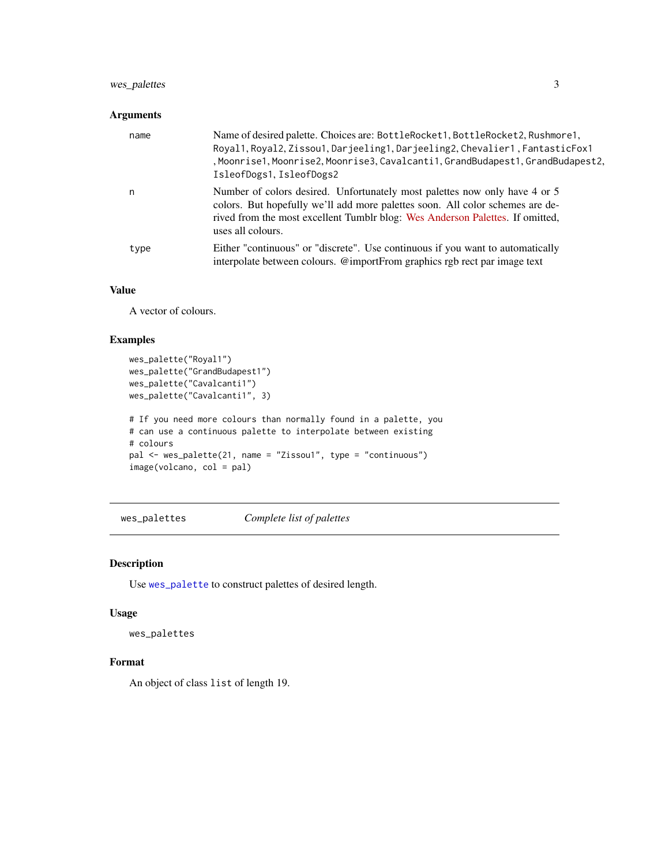#### <span id="page-2-0"></span>wes\_palettes 3

#### Arguments

| name | Name of desired palette. Choices are: BottleRocket1, BottleRocket2, Rushmore1,<br>Royal1, Royal2, Zissou1, Darjeeling1, Darjeeling2, Chevalier1, FantasticFox1<br>, Moonrise1, Moonrise2, Moonrise3, Cavalcanti1, GrandBudapest1, GrandBudapest2,<br>IsleofDogs1, IsleofDogs2 |
|------|-------------------------------------------------------------------------------------------------------------------------------------------------------------------------------------------------------------------------------------------------------------------------------|
| n    | Number of colors desired. Unfortunately most palettes now only have 4 or 5<br>colors. But hopefully we'll add more palettes soon. All color schemes are de-<br>rived from the most excellent Tumblr blog: Wes Anderson Palettes. If omitted,<br>uses all colours.             |
| type | Either "continuous" or "discrete". Use continuous if you want to automatically<br>interpolate between colours. @importFrom graphics rgb rect par image text                                                                                                                   |

#### Value

A vector of colours.

#### Examples

```
wes_palette("Royal1")
wes_palette("GrandBudapest1")
wes_palette("Cavalcanti1")
wes_palette("Cavalcanti1", 3)
# If you need more colours than normally found in a palette, you
# can use a continuous palette to interpolate between existing
# colours
pal <- wes_palette(21, name = "Zissou1", type = "continuous")
image(volcano, col = pal)
```
wes\_palettes *Complete list of palettes*

#### Description

Use [wes\\_palette](#page-1-1) to construct palettes of desired length.

#### Usage

wes\_palettes

#### Format

An object of class list of length 19.